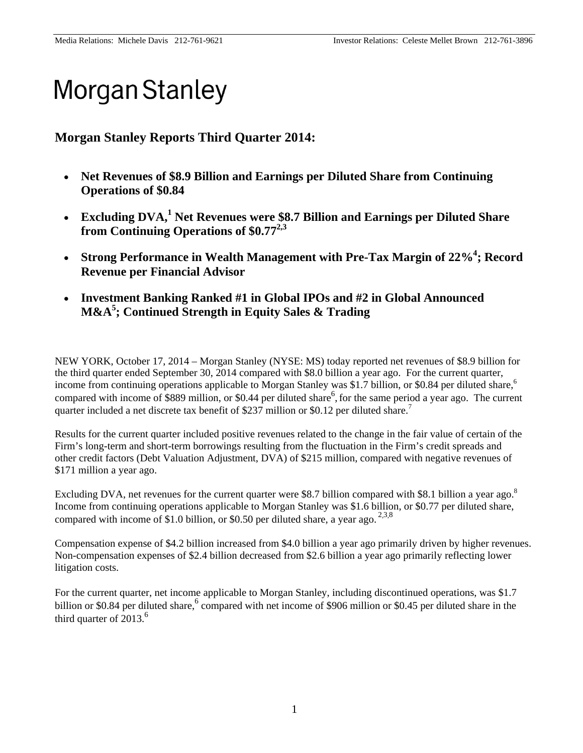# **Morgan Stanley**

# **Morgan Stanley Reports Third Quarter 2014:**

- **Net Revenues of \$8.9 Billion and Earnings per Diluted Share from Continuing Operations of \$0.84**
- **Excluding DVA,<sup>1</sup> Net Revenues were \$8.7 Billion and Earnings per Diluted Share from Continuing Operations of \$0.772,3**
- Strong Performance in Wealth Management with Pre-Tax Margin of 22%<sup>4</sup>; Record **Revenue per Financial Advisor**
- **Investment Banking Ranked #1 in Global IPOs and #2 in Global Announced M&A5 ; Continued Strength in Equity Sales & Trading**

NEW YORK, October 17, 2014 – Morgan Stanley (NYSE: MS) today reported net revenues of \$8.9 billion for the third quarter ended September 30, 2014 compared with \$8.0 billion a year ago. For the current quarter, income from continuing operations applicable to Morgan Stanley was \$1.7 billion, or \$0.84 per diluted share,<sup>6</sup> compared with income of \$889 million, or \$0.44 per diluted share<sup>6</sup>, for the same period a year ago. The current quarter included a net discrete tax benefit of \$237 million or \$0.12 per diluted share.<sup>7</sup>

Results for the current quarter included positive revenues related to the change in the fair value of certain of the Firm's long-term and short-term borrowings resulting from the fluctuation in the Firm's credit spreads and other credit factors (Debt Valuation Adjustment, DVA) of \$215 million, compared with negative revenues of \$171 million a year ago.

Excluding DVA, net revenues for the current quarter were \$8.7 billion compared with \$8.1 billion a year ago.<sup>8</sup> Income from continuing operations applicable to Morgan Stanley was \$1.6 billion, or \$0.77 per diluted share, compared with income of \$1.0 billion, or \$0.50 per diluted share, a year ago.  $^{2,3,8}$ 

Compensation expense of \$4.2 billion increased from \$4.0 billion a year ago primarily driven by higher revenues. Non-compensation expenses of \$2.4 billion decreased from \$2.6 billion a year ago primarily reflecting lower litigation costs.

For the current quarter, net income applicable to Morgan Stanley, including discontinued operations, was \$1.7 billion or \$0.84 per diluted share,<sup>6</sup> compared with net income of \$906 million or \$0.45 per diluted share in the third quarter of  $2013.<sup>6</sup>$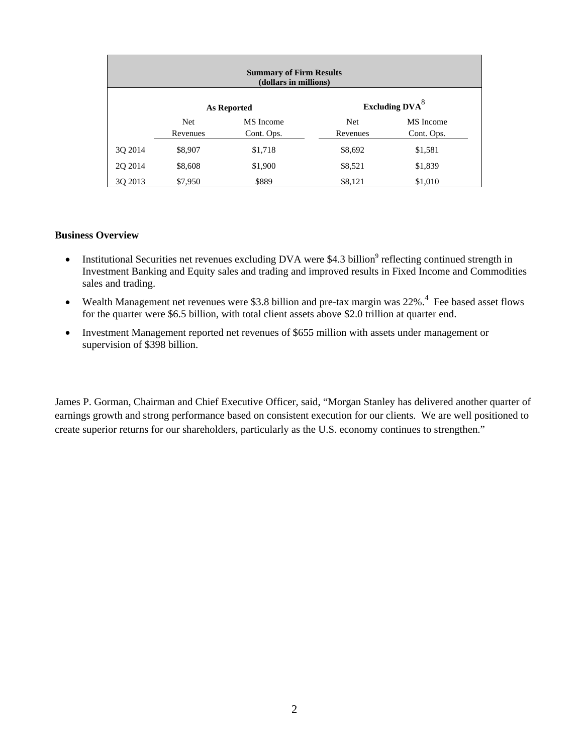| <b>Summary of Firm Results</b><br>(dollars in millions) |          |                    |            |                            |  |  |  |  |  |
|---------------------------------------------------------|----------|--------------------|------------|----------------------------|--|--|--|--|--|
|                                                         |          | <b>As Reported</b> |            | Excluding DVA <sup>8</sup> |  |  |  |  |  |
|                                                         | Net      | MS Income          | <b>Net</b> | MS Income                  |  |  |  |  |  |
|                                                         | Revenues | Cont. Ops.         | Revenues   | Cont. Ops.                 |  |  |  |  |  |
| 3Q 2014                                                 | \$8,907  | \$1,718            | \$8,692    | \$1,581                    |  |  |  |  |  |
| 20 20 14                                                | \$8,608  | \$1,900            | \$8,521    | \$1,839                    |  |  |  |  |  |
| 30 2013                                                 | \$7,950  | \$889              | \$8,121    | \$1,010                    |  |  |  |  |  |

## **Business Overview**

- Institutional Securities net revenues excluding DVA were \$4.3 billion<sup>9</sup> reflecting continued strength in Investment Banking and Equity sales and trading and improved results in Fixed Income and Commodities sales and trading.
- Wealth Management net revenues were \$3.8 billion and pre-tax margin was  $22\%$ .<sup>4</sup> Fee based asset flows for the quarter were \$6.5 billion, with total client assets above \$2.0 trillion at quarter end.
- Investment Management reported net revenues of \$655 million with assets under management or supervision of \$398 billion.

James P. Gorman, Chairman and Chief Executive Officer, said, "Morgan Stanley has delivered another quarter of earnings growth and strong performance based on consistent execution for our clients. We are well positioned to create superior returns for our shareholders, particularly as the U.S. economy continues to strengthen."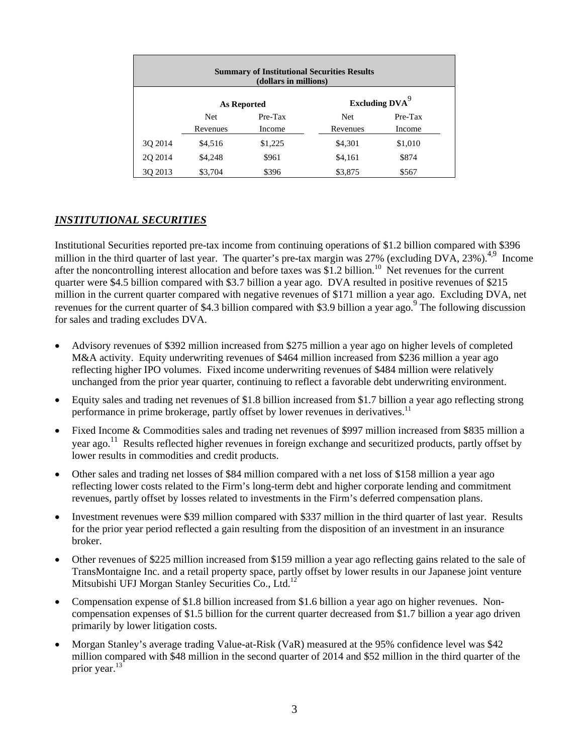| <b>Summary of Institutional Securities Results</b><br>(dollars in millions) |          |             |            |                            |  |  |  |  |  |
|-----------------------------------------------------------------------------|----------|-------------|------------|----------------------------|--|--|--|--|--|
|                                                                             |          | As Reported |            | Excluding DVA <sup>9</sup> |  |  |  |  |  |
|                                                                             | Net      | Pre-Tax     | <b>Net</b> | Pre-Tax                    |  |  |  |  |  |
|                                                                             | Revenues | Income      | Revenues   | Income                     |  |  |  |  |  |
| 30 2014                                                                     | \$4,516  | \$1,225     | \$4,301    | \$1,010                    |  |  |  |  |  |
| 2Q 2014                                                                     | \$4,248  | \$961       | \$4,161    | \$874                      |  |  |  |  |  |
| 30 2013                                                                     | \$3,704  | \$396       | \$3,875    | \$567                      |  |  |  |  |  |

## *INSTITUTIONAL SECURITIES*

Institutional Securities reported pre-tax income from continuing operations of \$1.2 billion compared with \$396 million in the third quarter of last year. The quarter's pre-tax margin was 27% (excluding DVA, 23%).<sup>4,9</sup> Income after the noncontrolling interest allocation and before taxes was \$1.2 billion.<sup>10</sup> Net revenues for the current quarter were \$4.5 billion compared with \$3.7 billion a year ago. DVA resulted in positive revenues of \$215 million in the current quarter compared with negative revenues of \$171 million a year ago. Excluding DVA, net revenues for the current quarter of \$4.3 billion compared with \$3.9 billion a year ago.<sup>9</sup> The following discussion for sales and trading excludes DVA.

- Advisory revenues of \$392 million increased from \$275 million a year ago on higher levels of completed M&A activity. Equity underwriting revenues of \$464 million increased from \$236 million a year ago reflecting higher IPO volumes. Fixed income underwriting revenues of \$484 million were relatively unchanged from the prior year quarter, continuing to reflect a favorable debt underwriting environment.
- Equity sales and trading net revenues of \$1.8 billion increased from \$1.7 billion a year ago reflecting strong performance in prime brokerage, partly offset by lower revenues in derivatives.<sup>11</sup>
- Fixed Income & Commodities sales and trading net revenues of \$997 million increased from \$835 million a year ago.<sup>11</sup> Results reflected higher revenues in foreign exchange and securitized products, partly offset by lower results in commodities and credit products.
- Other sales and trading net losses of \$84 million compared with a net loss of \$158 million a year ago reflecting lower costs related to the Firm's long-term debt and higher corporate lending and commitment revenues, partly offset by losses related to investments in the Firm's deferred compensation plans.
- Investment revenues were \$39 million compared with \$337 million in the third quarter of last year. Results for the prior year period reflected a gain resulting from the disposition of an investment in an insurance broker.
- Other revenues of \$225 million increased from \$159 million a year ago reflecting gains related to the sale of TransMontaigne Inc. and a retail property space, partly offset by lower results in our Japanese joint venture Mitsubishi UFJ Morgan Stanley Securities Co., Ltd.<sup>12</sup>
- Compensation expense of \$1.8 billion increased from \$1.6 billion a year ago on higher revenues. Noncompensation expenses of \$1.5 billion for the current quarter decreased from \$1.7 billion a year ago driven primarily by lower litigation costs.
- Morgan Stanley's average trading Value-at-Risk (VaR) measured at the 95% confidence level was \$42 million compared with \$48 million in the second quarter of 2014 and \$52 million in the third quarter of the prior year.<sup>13</sup>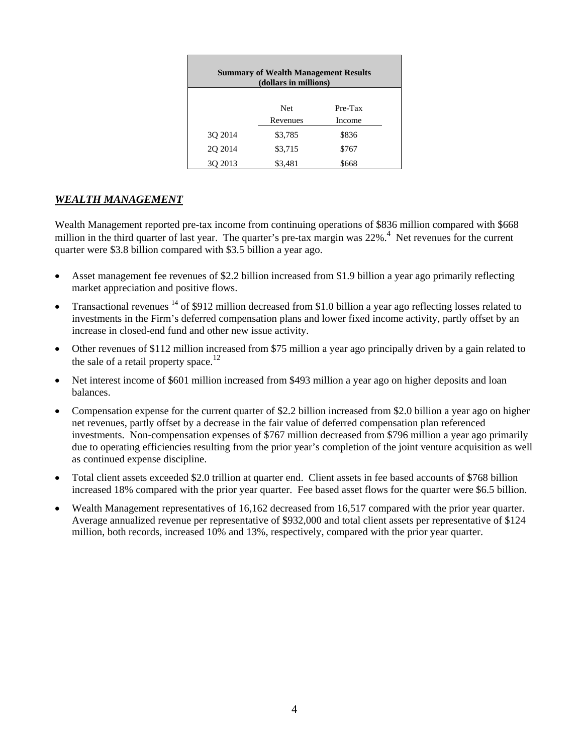| <b>Summary of Wealth Management Results</b><br>(dollars in millions) |            |         |  |  |  |  |  |  |  |
|----------------------------------------------------------------------|------------|---------|--|--|--|--|--|--|--|
|                                                                      | <b>Net</b> | Pre-Tax |  |  |  |  |  |  |  |
|                                                                      | Revenues   | Income  |  |  |  |  |  |  |  |
| 30 2014                                                              | \$3,785    | \$836   |  |  |  |  |  |  |  |
| 20 20 14                                                             | \$3,715    | \$767   |  |  |  |  |  |  |  |
| 30 2013                                                              | \$3.481    | \$668   |  |  |  |  |  |  |  |

## *WEALTH MANAGEMENT*

Wealth Management reported pre-tax income from continuing operations of \$836 million compared with \$668 million in the third quarter of last year. The quarter's pre-tax margin was 22%.<sup>4</sup> Net revenues for the current quarter were \$3.8 billion compared with \$3.5 billion a year ago.

- Asset management fee revenues of \$2.2 billion increased from \$1.9 billion a year ago primarily reflecting market appreciation and positive flows.
- Transactional revenues  $^{14}$  of \$912 million decreased from \$1.0 billion a year ago reflecting losses related to investments in the Firm's deferred compensation plans and lower fixed income activity, partly offset by an increase in closed-end fund and other new issue activity.
- Other revenues of \$112 million increased from \$75 million a year ago principally driven by a gain related to the sale of a retail property space.<sup>12</sup>
- Net interest income of \$601 million increased from \$493 million a year ago on higher deposits and loan balances.
- Compensation expense for the current quarter of \$2.2 billion increased from \$2.0 billion a year ago on higher net revenues, partly offset by a decrease in the fair value of deferred compensation plan referenced investments. Non-compensation expenses of \$767 million decreased from \$796 million a year ago primarily due to operating efficiencies resulting from the prior year's completion of the joint venture acquisition as well as continued expense discipline.
- Total client assets exceeded \$2.0 trillion at quarter end. Client assets in fee based accounts of \$768 billion increased 18% compared with the prior year quarter. Fee based asset flows for the quarter were \$6.5 billion.
- Wealth Management representatives of 16,162 decreased from 16,517 compared with the prior year quarter. Average annualized revenue per representative of \$932,000 and total client assets per representative of \$124 million, both records, increased 10% and 13%, respectively, compared with the prior year quarter.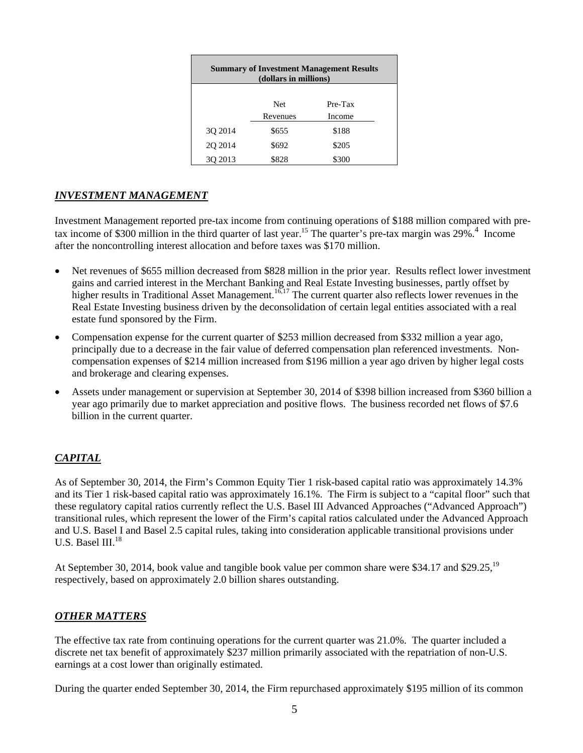| <b>Summary of Investment Management Results</b><br>(dollars in millions) |          |         |  |  |  |  |  |  |  |  |
|--------------------------------------------------------------------------|----------|---------|--|--|--|--|--|--|--|--|
|                                                                          | Net      | Pre-Tax |  |  |  |  |  |  |  |  |
|                                                                          | Revenues | Income  |  |  |  |  |  |  |  |  |
| 3Q 2014                                                                  | \$655    | \$188   |  |  |  |  |  |  |  |  |
| 2Q 2014                                                                  | \$692    | \$205   |  |  |  |  |  |  |  |  |
| 30 2013                                                                  | \$828    | \$300   |  |  |  |  |  |  |  |  |

# *INVESTMENT MANAGEMENT*

Investment Management reported pre-tax income from continuing operations of \$188 million compared with pretax income of \$300 million in the third quarter of last year.<sup>15</sup> The quarter's pre-tax margin was 29%.<sup>4</sup> Income after the noncontrolling interest allocation and before taxes was \$170 million.

- Net revenues of \$655 million decreased from \$828 million in the prior year. Results reflect lower investment gains and carried interest in the Merchant Banking and Real Estate Investing businesses, partly offset by higher results in Traditional Asset Management.<sup>16,17</sup> The current quarter also reflects lower revenues in the Real Estate Investing business driven by the deconsolidation of certain legal entities associated with a real estate fund sponsored by the Firm.
- Compensation expense for the current quarter of \$253 million decreased from \$332 million a year ago, principally due to a decrease in the fair value of deferred compensation plan referenced investments. Noncompensation expenses of \$214 million increased from \$196 million a year ago driven by higher legal costs and brokerage and clearing expenses.
- Assets under management or supervision at September 30, 2014 of \$398 billion increased from \$360 billion a year ago primarily due to market appreciation and positive flows. The business recorded net flows of \$7.6 billion in the current quarter.

# *CAPITAL*

As of September 30, 2014, the Firm's Common Equity Tier 1 risk-based capital ratio was approximately 14.3% and its Tier 1 risk-based capital ratio was approximately 16.1%. The Firm is subject to a "capital floor" such that these regulatory capital ratios currently reflect the U.S. Basel III Advanced Approaches ("Advanced Approach") transitional rules, which represent the lower of the Firm's capital ratios calculated under the Advanced Approach and U.S. Basel I and Basel 2.5 capital rules, taking into consideration applicable transitional provisions under U.S. Basel III. $18$ 

At September 30, 2014, book value and tangible book value per common share were \$34.17 and \$29.25.<sup>19</sup> respectively, based on approximately 2.0 billion shares outstanding.

# *OTHER MATTERS*

The effective tax rate from continuing operations for the current quarter was 21.0%. The quarter included a discrete net tax benefit of approximately \$237 million primarily associated with the repatriation of non-U.S. earnings at a cost lower than originally estimated.

During the quarter ended September 30, 2014, the Firm repurchased approximately \$195 million of its common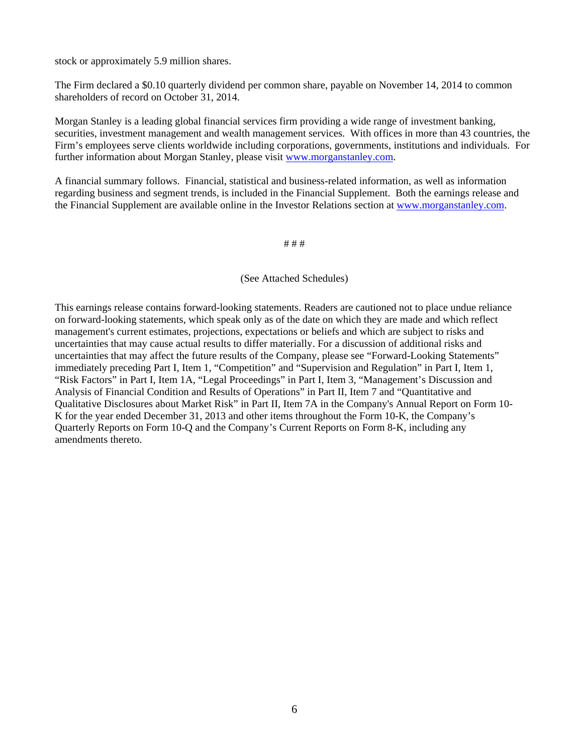stock or approximately 5.9 million shares.

The Firm declared a \$0.10 quarterly dividend per common share, payable on November 14, 2014 to common shareholders of record on October 31, 2014.

Morgan Stanley is a leading global financial services firm providing a wide range of investment banking, securities, investment management and wealth management services. With offices in more than 43 countries, the Firm's employees serve clients worldwide including corporations, governments, institutions and individuals. For further information about Morgan Stanley, please visit www.morganstanley.com.

A financial summary follows. Financial, statistical and business-related information, as well as information regarding business and segment trends, is included in the Financial Supplement. Both the earnings release and the Financial Supplement are available online in the Investor Relations section at www.morganstanley.com.

#### # # #

### (See Attached Schedules)

This earnings release contains forward-looking statements. Readers are cautioned not to place undue reliance on forward-looking statements, which speak only as of the date on which they are made and which reflect management's current estimates, projections, expectations or beliefs and which are subject to risks and uncertainties that may cause actual results to differ materially. For a discussion of additional risks and uncertainties that may affect the future results of the Company, please see "Forward-Looking Statements" immediately preceding Part I, Item 1, "Competition" and "Supervision and Regulation" in Part I, Item 1, "Risk Factors" in Part I, Item 1A, "Legal Proceedings" in Part I, Item 3, "Management's Discussion and Analysis of Financial Condition and Results of Operations" in Part II, Item 7 and "Quantitative and Qualitative Disclosures about Market Risk" in Part II, Item 7A in the Company's Annual Report on Form 10- K for the year ended December 31, 2013 and other items throughout the Form 10-K, the Company's Quarterly Reports on Form 10-Q and the Company's Current Reports on Form 8-K, including any amendments thereto.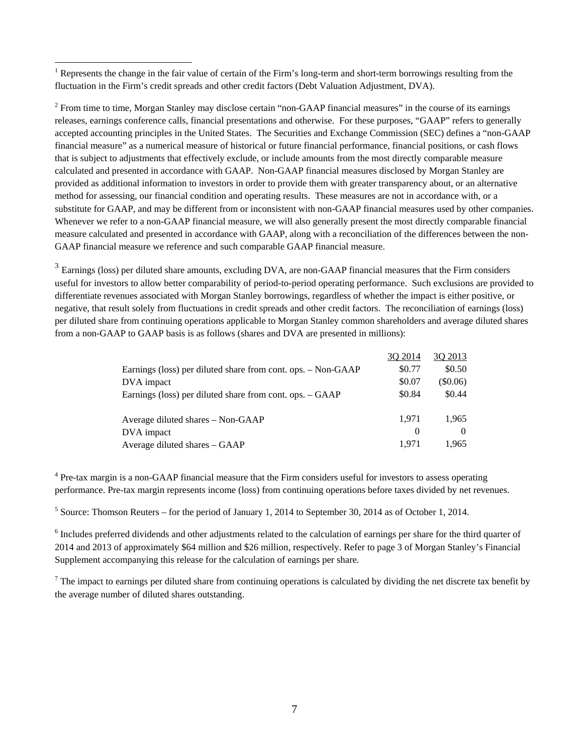<sup>1</sup> Represents the change in the fair value of certain of the Firm's long-term and short-term borrowings resulting from the fluctuation in the Firm's credit spreads and other credit factors (Debt Valuation Adjustment, DVA).

 $\overline{a}$ 

 $2^2$  From time to time, Morgan Stanley may disclose certain "non-GAAP financial measures" in the course of its earnings releases, earnings conference calls, financial presentations and otherwise. For these purposes, "GAAP" refers to generally accepted accounting principles in the United States. The Securities and Exchange Commission (SEC) defines a "non-GAAP financial measure" as a numerical measure of historical or future financial performance, financial positions, or cash flows that is subject to adjustments that effectively exclude, or include amounts from the most directly comparable measure calculated and presented in accordance with GAAP. Non-GAAP financial measures disclosed by Morgan Stanley are provided as additional information to investors in order to provide them with greater transparency about, or an alternative method for assessing, our financial condition and operating results. These measures are not in accordance with, or a substitute for GAAP, and may be different from or inconsistent with non-GAAP financial measures used by other companies. Whenever we refer to a non-GAAP financial measure, we will also generally present the most directly comparable financial measure calculated and presented in accordance with GAAP, along with a reconciliation of the differences between the non-GAAP financial measure we reference and such comparable GAAP financial measure.

<sup>3</sup> Earnings (loss) per diluted share amounts, excluding DVA, are non-GAAP financial measures that the Firm considers useful for investors to allow better comparability of period-to-period operating performance. Such exclusions are provided to differentiate revenues associated with Morgan Stanley borrowings, regardless of whether the impact is either positive, or negative, that result solely from fluctuations in credit spreads and other credit factors. The reconciliation of earnings (loss) per diluted share from continuing operations applicable to Morgan Stanley common shareholders and average diluted shares from a non-GAAP to GAAP basis is as follows (shares and DVA are presented in millions):

|                                                              | 30 2014  | 30 2013  |
|--------------------------------------------------------------|----------|----------|
| Earnings (loss) per diluted share from cont. ops. – Non-GAAP | \$0.77   | \$0.50   |
| DVA impact                                                   | \$0.07   | (\$0.06) |
| Earnings (loss) per diluted share from cont. ops. – GAAP     | \$0.84   | \$0.44   |
| Average diluted shares - Non-GAAP                            | 1.971    | 1,965    |
| DVA impact                                                   | $\theta$ |          |
| Average diluted shares – GAAP                                | 1.971    | 1.965    |

<sup>4</sup> Pre-tax margin is a non-GAAP financial measure that the Firm considers useful for investors to assess operating performance. Pre-tax margin represents income (loss) from continuing operations before taxes divided by net revenues.

<sup>5</sup> Source: Thomson Reuters – for the period of January 1, 2014 to September 30, 2014 as of October 1, 2014.

<sup>6</sup> Includes preferred dividends and other adjustments related to the calculation of earnings per share for the third quarter of 2014 and 2013 of approximately \$64 million and \$26 million, respectively. Refer to page 3 of Morgan Stanley's Financial Supplement accompanying this release for the calculation of earnings per share.

 $<sup>7</sup>$  The impact to earnings per diluted share from continuing operations is calculated by dividing the net discrete tax benefit by</sup> the average number of diluted shares outstanding.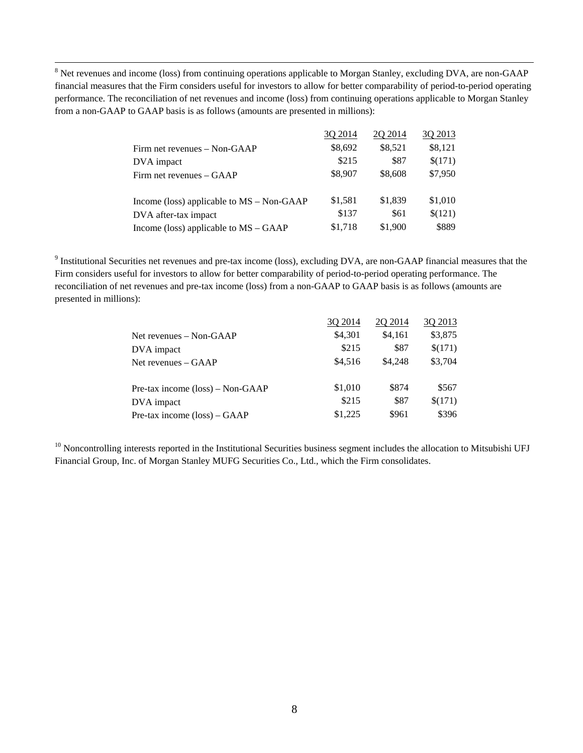8 <sup>8</sup> Net revenues and income (loss) from continuing operations applicable to Morgan Stanley, excluding DVA, are non-GAAP financial measures that the Firm considers useful for investors to allow for better comparability of period-to-period operating performance. The reconciliation of net revenues and income (loss) from continuing operations applicable to Morgan Stanley from a non-GAAP to GAAP basis is as follows (amounts are presented in millions):

|                                             | 30 2014 | 20 20 14 | 3Q 2013 |
|---------------------------------------------|---------|----------|---------|
| Firm net revenues – Non-GAAP                | \$8,692 | \$8,521  | \$8,121 |
| DVA impact                                  | \$215   | \$87     | \$(171) |
| Firm net revenues – GAAP                    | \$8,907 | \$8,608  | \$7,950 |
| Income (loss) applicable to $MS - Non-GAAP$ | \$1,581 | \$1,839  | \$1,010 |
| DVA after-tax impact                        | \$137   | \$61     | \$(121) |
| Income (loss) applicable to $MS - GAAP$     | \$1,718 | \$1,900  | \$889   |

<sup>9</sup> Institutional Securities net revenues and pre-tax income (loss), excluding DVA, are non-GAAP financial measures that the Firm considers useful for investors to allow for better comparability of period-to-period operating performance. The reconciliation of net revenues and pre-tax income (loss) from a non-GAAP to GAAP basis is as follows (amounts are presented in millions):

|                                    | 30 2014 | 20 20 14 | 30 2013 |
|------------------------------------|---------|----------|---------|
| Net revenues – Non-GAAP            | \$4,301 | \$4,161  | \$3,875 |
| DVA impact                         | \$215   | \$87     | \$(171) |
| Net revenues $-$ GAAP              | \$4.516 | \$4.248  | \$3,704 |
| Pre-tax income $(loss)$ – Non-GAAP | \$1,010 | \$874    | \$567   |
| DVA impact                         | \$215   | \$87     | \$(171) |
| Pre-tax income $(loss) - GAP$      | \$1,225 | \$961    | \$396   |

 $10$  Noncontrolling interests reported in the Institutional Securities business segment includes the allocation to Mitsubishi UFJ Financial Group, Inc. of Morgan Stanley MUFG Securities Co., Ltd., which the Firm consolidates.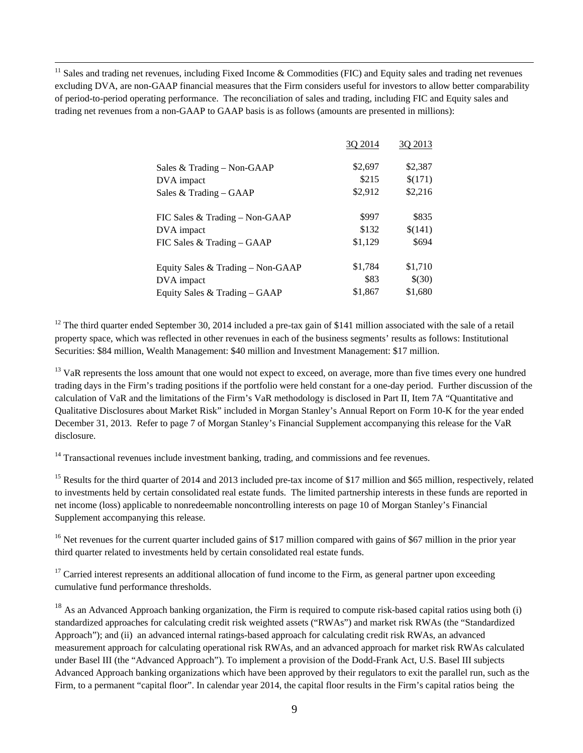<sup>11</sup> Sales and trading net revenues, including Fixed Income & Commodities (FIC) and Equity sales and trading net revenues excluding DVA, are non-GAAP financial measures that the Firm considers useful for investors to allow better comparability of period-to-period operating performance. The reconciliation of sales and trading, including FIC and Equity sales and trading net revenues from a non-GAAP to GAAP basis is as follows (amounts are presented in millions):

|                                   | 3Q 2014 | 3Q 2013 |
|-----------------------------------|---------|---------|
| Sales & Trading $-$ Non-GAAP      | \$2,697 | \$2,387 |
| DVA impact                        | \$215   | \$(171) |
| Sales & Trading $-$ GAAP          | \$2,912 | \$2,216 |
| $FIC$ Sales & Trading – Non-GAAP  | \$997   | \$835   |
| DVA impact                        | \$132   | \$(141) |
| FIC Sales & Trading – GAAP        | \$1,129 | \$694   |
| Equity Sales & Trading – Non-GAAP | \$1,784 | \$1,710 |
| DVA impact                        | \$83    | \$(30)  |
| Equity Sales & Trading – GAAP     | \$1,867 | \$1,680 |

 $12$  The third quarter ended September 30, 2014 included a pre-tax gain of \$141 million associated with the sale of a retail property space, which was reflected in other revenues in each of the business segments' results as follows: Institutional Securities: \$84 million, Wealth Management: \$40 million and Investment Management: \$17 million.

<sup>13</sup> VaR represents the loss amount that one would not expect to exceed, on average, more than five times every one hundred trading days in the Firm's trading positions if the portfolio were held constant for a one-day period. Further discussion of the calculation of VaR and the limitations of the Firm's VaR methodology is disclosed in Part II, Item 7A "Quantitative and Qualitative Disclosures about Market Risk" included in Morgan Stanley's Annual Report on Form 10-K for the year ended December 31, 2013. Refer to page 7 of Morgan Stanley's Financial Supplement accompanying this release for the VaR disclosure.

 $14$  Transactional revenues include investment banking, trading, and commissions and fee revenues.

<sup>15</sup> Results for the third quarter of 2014 and 2013 included pre-tax income of \$17 million and \$65 million, respectively, related to investments held by certain consolidated real estate funds. The limited partnership interests in these funds are reported in net income (loss) applicable to nonredeemable noncontrolling interests on page 10 of Morgan Stanley's Financial Supplement accompanying this release.

<sup>16</sup> Net revenues for the current quarter included gains of \$17 million compared with gains of \$67 million in the prior year third quarter related to investments held by certain consolidated real estate funds.

 $17$  Carried interest represents an additional allocation of fund income to the Firm, as general partner upon exceeding cumulative fund performance thresholds.

 $18$  As an Advanced Approach banking organization, the Firm is required to compute risk-based capital ratios using both (i) standardized approaches for calculating credit risk weighted assets ("RWAs") and market risk RWAs (the "Standardized Approach"); and (ii) an advanced internal ratings-based approach for calculating credit risk RWAs, an advanced measurement approach for calculating operational risk RWAs, and an advanced approach for market risk RWAs calculated under Basel III (the "Advanced Approach"). To implement a provision of the Dodd-Frank Act, U.S. Basel III subjects Advanced Approach banking organizations which have been approved by their regulators to exit the parallel run, such as the Firm, to a permanent "capital floor". In calendar year 2014, the capital floor results in the Firm's capital ratios being the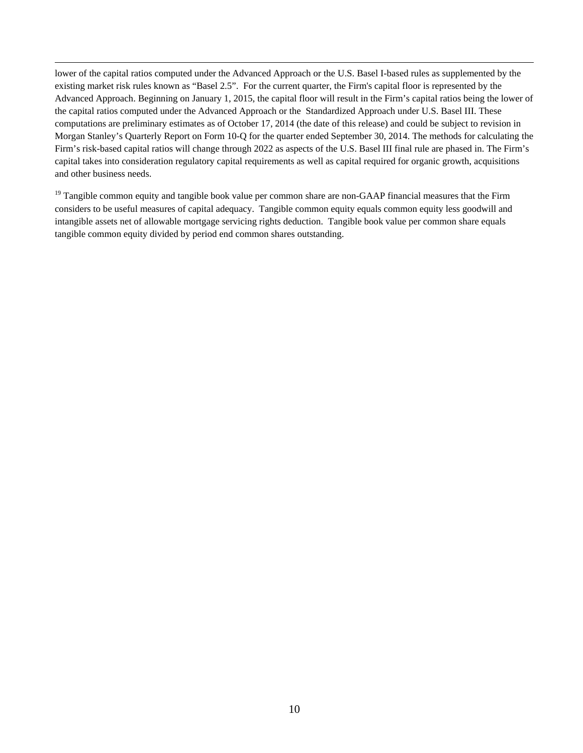lower of the capital ratios computed under the Advanced Approach or the U.S. Basel I-based rules as supplemented by the existing market risk rules known as "Basel 2.5". For the current quarter, the Firm's capital floor is represented by the Advanced Approach. Beginning on January 1, 2015, the capital floor will result in the Firm's capital ratios being the lower of the capital ratios computed under the Advanced Approach or the Standardized Approach under U.S. Basel III. These computations are preliminary estimates as of October 17, 2014 (the date of this release) and could be subject to revision in Morgan Stanley's Quarterly Report on Form 10-Q for the quarter ended September 30, 2014. The methods for calculating the Firm's risk-based capital ratios will change through 2022 as aspects of the U.S. Basel III final rule are phased in. The Firm's capital takes into consideration regulatory capital requirements as well as capital required for organic growth, acquisitions and other business needs.

<sup>19</sup> Tangible common equity and tangible book value per common share are non-GAAP financial measures that the Firm considers to be useful measures of capital adequacy. Tangible common equity equals common equity less goodwill and intangible assets net of allowable mortgage servicing rights deduction. Tangible book value per common share equals tangible common equity divided by period end common shares outstanding.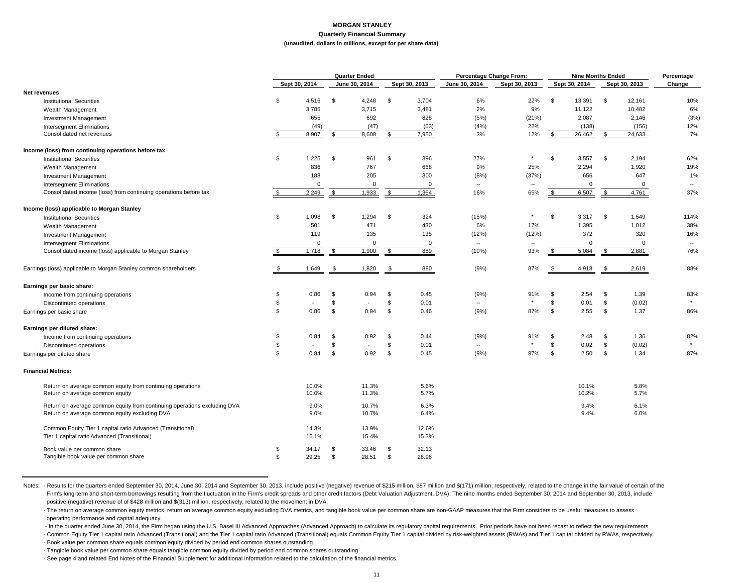#### **MORGAN STANLEYQuarterly Financial Summary**

#### **(unaudited, dollars in millions, except for per share data)**

|                                                                                                                           |               |                          |          | <b>Quarter Ended</b>     |             |                | Percentage Change From:  |                          |    | <b>Nine Months Ended</b> | Percentage    |                          |
|---------------------------------------------------------------------------------------------------------------------------|---------------|--------------------------|----------|--------------------------|-------------|----------------|--------------------------|--------------------------|----|--------------------------|---------------|--------------------------|
|                                                                                                                           |               | Sept 30, 2014            |          | June 30, 2014            |             | Sept 30, 2013  | June 30, 2014            | Sept 30, 2013            |    | Sept 30, 2014            | Sept 30, 2013 | Change                   |
| Net revenues                                                                                                              |               |                          |          |                          |             |                |                          |                          |    |                          |               |                          |
| <b>Institutional Securities</b>                                                                                           | \$            | 4,516                    | \$       | 4,248                    | \$          | 3,704          | 6%                       | 22%                      | \$ | 13,391                   | \$<br>12,161  | 10%                      |
| Wealth Management                                                                                                         |               | 3,785                    |          | 3,715                    |             | 3,481          | 2%                       | 9%                       |    | 11,122                   | 10,482        | 6%                       |
| <b>Investment Management</b>                                                                                              |               | 655                      |          | 692                      |             | 828            | (5%)                     | (21%)                    |    | 2,087                    | 2,146         | (3%)                     |
| <b>Intersegment Eliminations</b>                                                                                          |               | (49)                     |          | (47)                     |             | (63)           | (4%)                     | 22%                      |    | (138)                    | (156)         | 12%                      |
| Consolidated net revenues                                                                                                 | \$            | 8,907                    | \$       | 8,608                    | $\mathbb S$ | 7,950          | 3%                       | 12%                      | \$ | 26,462                   | \$<br>24,633  | 7%                       |
| Income (loss) from continuing operations before tax                                                                       |               |                          |          |                          |             |                |                          |                          |    |                          |               |                          |
| <b>Institutional Securities</b>                                                                                           | \$            | 1,225                    | \$       | 961                      | \$          | 396            | 27%                      | $^\star$                 | \$ | 3,557                    | \$<br>2,194   | 62%                      |
| Wealth Management                                                                                                         |               | 836                      |          | 767                      |             | 668            | 9%                       | 25%                      |    | 2,294                    | 1,920         | 19%                      |
| Investment Management                                                                                                     |               | 188                      |          | 205                      |             | 300            | (8%)                     | (37%)                    |    | 656                      | 647           | 1%                       |
| <b>Intersegment Eliminations</b>                                                                                          |               | $\Omega$                 |          | $\Omega$                 |             | $\Omega$       | $\overline{\phantom{a}}$ | $\overline{\phantom{a}}$ |    | $\Omega$                 | $\mathbf 0$   | $\overline{\phantom{a}}$ |
| Consolidated income (loss) from continuing operations before tax                                                          | $\mathfrak s$ | 2,249                    | \$       | 1,933                    | \$          | 1,364          | 16%                      | 65%                      | \$ | 6,507                    | \$<br>4,761   | 37%                      |
| Income (loss) applicable to Morgan Stanley                                                                                |               |                          |          |                          |             |                |                          |                          |    |                          |               |                          |
| <b>Institutional Securities</b>                                                                                           | \$            | 1,098                    | \$       | 1,294                    | \$          | 324            | (15%)                    |                          | \$ | 3,317                    | \$<br>1,549   | 114%                     |
| Wealth Management                                                                                                         |               | 501                      |          | 471                      |             | 430            | 6%                       | 17%                      |    | 1,395                    | 1,012         | 38%                      |
| <b>Investment Management</b>                                                                                              |               | 119                      |          | 135                      |             | 135            | (12%)                    | (12%)                    |    | 372                      | 320           | 16%                      |
| <b>Intersegment Eliminations</b>                                                                                          |               | $\mathbf 0$              |          | $\mathbf 0$              |             | $\mathbf 0$    | $\overline{\phantom{a}}$ |                          |    | $\mathbf 0$              | 0             | $\overline{\phantom{a}}$ |
| Consolidated income (loss) applicable to Morgan Stanley                                                                   | \$            | 1,718                    | \$       | 1,900                    | \$          | 889            | (10%)                    | 93%                      | \$ | 5,084                    | \$<br>2,881   | 76%                      |
| Earnings (loss) applicable to Morgan Stanley common shareholders                                                          | \$            | 1,649                    | - \$     | 1,820                    | -\$         | 880            | (9%)                     | 87%                      | \$ | 4,918                    | \$<br>2,619   | 88%                      |
| Earnings per basic share:                                                                                                 |               |                          |          |                          |             |                |                          |                          |    |                          |               |                          |
| Income from continuing operations                                                                                         | \$            | 0.86                     | \$       | 0.94                     | \$          | 0.45           | (9% )                    | 91%                      | \$ | 2.54                     | \$<br>1.39    | 83%                      |
| Discontinued operations                                                                                                   | \$            | $\sim$                   | \$       | $\overline{\phantom{a}}$ | \$          | 0.01           | $\overline{\phantom{a}}$ | $\star$                  | \$ | 0.01                     | \$<br>(0.02)  | $\star$                  |
| Earnings per basic share                                                                                                  | \$            | 0.86                     | \$       | 0.94                     | \$          | 0.46           | (9%)                     | 87%                      | \$ | 2.55                     | \$<br>1.37    | 86%                      |
| Earnings per diluted share:                                                                                               |               |                          |          |                          |             |                |                          |                          |    |                          |               |                          |
| Income from continuing operations                                                                                         | \$            | 0.84                     | \$       | 0.92                     | \$          | 0.44           | (9%)                     | 91%                      | \$ | 2.48                     | \$<br>1.36    | 82%                      |
| Discontinued operations                                                                                                   | \$            | $\overline{\phantom{a}}$ | \$       | $\overline{\phantom{a}}$ | \$          | 0.01           | --                       |                          | \$ | 0.02                     | \$<br>(0.02)  | $\star$                  |
| Earnings per diluted share                                                                                                | \$            | 0.84                     | \$       | 0.92                     | \$          | 0.45           | (9%)                     | 87%                      | \$ | 2.50                     | \$<br>1.34    | 87%                      |
| <b>Financial Metrics:</b>                                                                                                 |               |                          |          |                          |             |                |                          |                          |    |                          |               |                          |
| Return on average common equity from continuing operations                                                                |               | 10.0%<br>10.0%           |          | 11.3%<br>11.3%           |             | 5.6%<br>5.7%   |                          |                          |    | 10.1%<br>10.2%           | 5.8%<br>5.7%  |                          |
| Return on average common equity                                                                                           |               |                          |          |                          |             |                |                          |                          |    |                          |               |                          |
| Return on average common equity from continuing operations excluding DVA<br>Return on average common equity excluding DVA |               | 9.0%<br>9.0%             |          | 10.7%<br>10.7%           |             | 6.3%<br>6.4%   |                          |                          |    | 9.4%<br>9.4%             | 6.1%<br>6.0%  |                          |
| Common Equity Tier 1 capital ratio Advanced (Transitional)                                                                |               | 14.3%                    |          | 13.9%                    |             | 12.6%          |                          |                          |    |                          |               |                          |
| Tier 1 capital ratio Advanced (Transitional)                                                                              |               | 16.1%                    |          | 15.4%                    |             | 15.3%          |                          |                          |    |                          |               |                          |
| Book value per common share<br>Tangible book value per common share                                                       | \$<br>\$      | 34.17<br>29.25           | \$<br>\$ | 33.46<br>28.51           | \$<br>\$    | 32.13<br>26.96 |                          |                          |    |                          |               |                          |

Notes: - Results for the quarters ended September 30, 2014, June 30, 2014 and September 30, 2013, include positive (negative) revenue of \$215 million, \$87 million, and \$(171) million, respectively, related to the change in Firm's long-term and short-term borrowings resulting from the fluctuation in the Firm's credit spreads and other credit factors (Debt Valuation Adjustment, DVA). The nine months ended September 30, 2014 and September 30, 2 positive (negative) revenue of of \$428 million and \$(313) million, respectively, related to the movement in DVA.

<sup>-</sup> The return on average common equity metrics, return on average common equity excluding DVA metrics, and tangible book value per common share are non-GAAP measures that the Firm considers to be useful measures to assess operating performance and capital adequacy.

<sup>-</sup> In the quarter ended June 30, 2014, the Firm began using the U.S. Basel III Advanced Approaches (Advanced Approach) to calculate its regulatory capital requirements. Prior periods have not been recast to reflect the new

<sup>-</sup> Common Equity Tier 1 capital ratio Advanced (Transitional) and the Tier 1 capital ratio Advanced (Transitional) equals Common Equity Tier 1 capital divided by risk-weighted assets (RWAs) and Tier 1 capital divided by RWA

<sup>-</sup> Book value per common share equals common equity divided by period end common shares outstanding.

<sup>-</sup> Tangible book value per common share equals tangible common equity divided by period end common shares outstanding.

<sup>-</sup> See page 4 and related End Notes of the Financial Supplement for additional information related to the calculation of the financial metrics.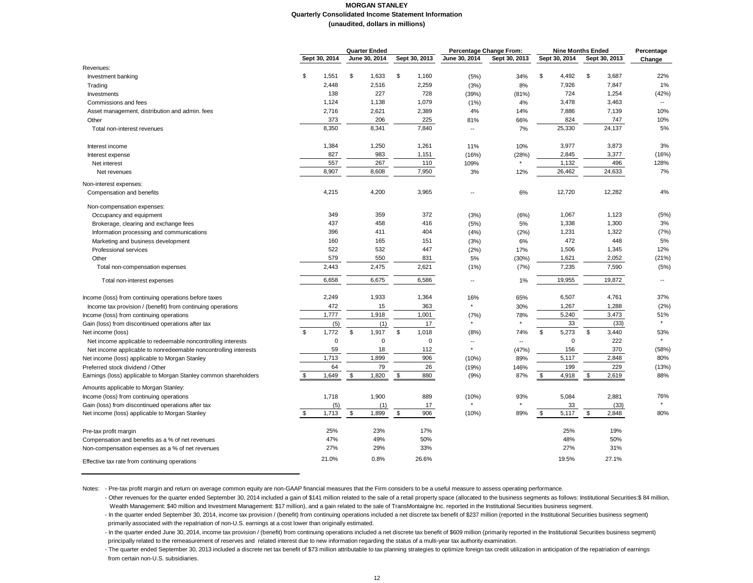#### **MORGAN STANLEY Quarterly Consolidated Income Statement Information (unaudited, dollars in millions)**

|                                                                  | <b>Quarter Ended</b> |               |             |               |                          | Percentage Change From:  | <b>Nine Months Ended</b> |               |                          |  |
|------------------------------------------------------------------|----------------------|---------------|-------------|---------------|--------------------------|--------------------------|--------------------------|---------------|--------------------------|--|
|                                                                  | Sept 30, 2014        | June 30, 2014 |             | Sept 30, 2013 | June 30, 2014            | Sept 30, 2013            | Sept 30, 2014            | Sept 30, 2013 | Change                   |  |
| Revenues:                                                        |                      |               |             |               |                          |                          |                          |               |                          |  |
| Investment banking                                               | \$<br>1,551          | \$            | 1,633       | \$<br>1,160   | (5%)                     | 34%                      | \$<br>4,492              | \$<br>3,687   | 22%                      |  |
| Trading                                                          | 2,448                |               | 2,516       | 2,259         | (3%)                     | 8%                       | 7,926                    | 7,847         | 1%                       |  |
| Investments                                                      | 138                  |               | 227         | 728           | (39%)                    | (81%)                    | 724                      | 1,254         | (42%)                    |  |
| Commissions and fees                                             | 1,124                |               | 1,138       | 1,079         | (1%)                     | 4%                       | 3,478                    | 3,463         | $\overline{\phantom{a}}$ |  |
| Asset management, distribution and admin. fees                   | 2,716                |               | 2,621       | 2,389         | 4%                       | 14%                      | 7,886                    | 7,139         | 10%                      |  |
| Other                                                            | 373                  |               | 206         | 225           | 81%                      | 66%                      | 824                      | 747           | 10%                      |  |
| Total non-interest revenues                                      | 8,350                |               | 8,341       | 7,840         | --                       | 7%                       | 25,330                   | 24,137        | 5%                       |  |
| Interest income                                                  | 1,384                |               | 1,250       | 1,261         | 11%                      | 10%                      | 3,977                    | 3,873         | 3%                       |  |
| Interest expense                                                 | 827                  |               | 983         | 1,151         | (16%)                    | (28%)                    | 2,845                    | 3,377         | (16%)                    |  |
| Net interest                                                     | 557                  |               | 267         | 110           | 109%                     |                          | 1,132                    | 496           | 128%                     |  |
| Net revenues                                                     | 8,907                |               | 8,608       | 7,950         | 3%                       | 12%                      | 26,462                   | 24,633        | 7%                       |  |
| Non-interest expenses:                                           |                      |               |             |               |                          |                          |                          |               |                          |  |
| Compensation and benefits                                        | 4,215                |               | 4,200       | 3,965         | --                       | 6%                       | 12,720                   | 12,282        | 4%                       |  |
| Non-compensation expenses:                                       |                      |               |             |               |                          |                          |                          |               |                          |  |
| Occupancy and equipment                                          | 349                  |               | 359         | 372           | (3%)                     | (6%)                     | 1,067                    | 1,123         | (5%)                     |  |
| Brokerage, clearing and exchange fees                            | 437                  |               | 458         | 416           | (5%)                     | 5%                       | 1,338                    | 1,300         | 3%                       |  |
| Information processing and communications                        | 396                  |               | 411         | 404           | (4% )                    | (2%)                     | 1,231                    | 1,322         | (7%)                     |  |
| Marketing and business development                               | 160                  |               | 165         | 151           | (3%)                     | 6%                       | 472                      | 448           | 5%                       |  |
| Professional services                                            | 522                  |               | 532         | 447           | (2%)                     | 17%                      | 1,506                    | 1,345         | 12%                      |  |
| Other                                                            | 579                  |               | 550         | 831           | 5%                       | (30%)                    | 1,621                    | 2,052         | (21%)                    |  |
| Total non-compensation expenses                                  | 2,443                |               | 2,475       | 2,621         | (1%)                     | (7%)                     | 7,235                    | 7,590         | (5%)                     |  |
| Total non-interest expenses                                      | 6,658                |               | 6,675       | 6,586         | $\overline{\phantom{a}}$ | 1%                       | 19,955                   | 19,872        | $\overline{\phantom{a}}$ |  |
| Income (loss) from continuing operations before taxes            | 2,249                |               | 1,933       | 1,364         | 16%                      | 65%                      | 6,507                    | 4,761         | 37%                      |  |
| Income tax provision / (benefit) from continuing operations      | 472                  |               | 15          | 363           | $\star$                  | 30%                      | 1,267                    | 1,288         | (2%)                     |  |
| Income (loss) from continuing operations                         | 1,777                |               | 1,918       | 1,001         | (7%)                     | 78%                      | 5,240                    | 3,473         | 51%                      |  |
| Gain (loss) from discontinued operations after tax               | (5)                  |               | (1)         | 17            |                          |                          | 33                       | (33)          |                          |  |
| Net income (loss)                                                | \$<br>1,772          | \$            | 1,917       | \$<br>1,018   | (8%)                     | 74%                      | 5,273<br>\$              | \$<br>3,440   | 53%                      |  |
| Net income applicable to redeemable noncontrolling interests     | $\Omega$             |               | $\mathbf 0$ | $\mathbf 0$   | $\overline{a}$           | $\overline{\phantom{a}}$ | $\mathbf 0$              | 222           | $\star$                  |  |
| Net income applicable to nonredeemable noncontrolling interests  | 59                   |               | 18          | 112           | $\star$                  | (47%)                    | 156                      | 370           | (58%)                    |  |
| Net income (loss) applicable to Morgan Stanley                   | 1,713                |               | 1,899       | 906           | (10%)                    | 89%                      | 5,117                    | 2,848         | 80%                      |  |
| Preferred stock dividend / Other                                 | 64                   |               | 79          | 26            | (19%)                    | 146%                     | 199                      | 229           | (13%)                    |  |
| Earnings (loss) applicable to Morgan Stanley common shareholders | \$<br>1,649          | \$            | 1,820       | \$<br>880     | (9%)                     | 87%                      | \$<br>4,918              | \$<br>2,619   | 88%                      |  |
| Amounts applicable to Morgan Stanley:                            |                      |               |             |               |                          |                          |                          |               |                          |  |
| Income (loss) from continuing operations                         | 1,718                |               | 1,900       | 889           | (10%)                    | 93%                      | 5,084                    | 2,881         | 76%                      |  |
| Gain (loss) from discontinued operations after tax               |                      | (5)           | (1)         | 17            |                          |                          | 33                       | (33)          |                          |  |
| Net income (loss) applicable to Morgan Stanley                   | \$<br>1,713          | \$            | 1,899       | \$<br>906     | (10%)                    | 89%                      | \$<br>5,117              | \$<br>2,848   | 80%                      |  |
| Pre-tax profit margin                                            | 25%                  |               | 23%         | 17%           |                          |                          | 25%                      | 19%           |                          |  |
| Compensation and benefits as a % of net revenues                 | 47%                  |               | 49%         | 50%           |                          |                          | 48%                      | 50%           |                          |  |
| Non-compensation expenses as a % of net revenues                 | 27%                  |               | 29%         | 33%           |                          |                          | 27%                      | 31%           |                          |  |
| Effective tax rate from continuing operations                    | 21.0%                |               | 0.8%        | 26.6%         |                          |                          | 19.5%                    | 27.1%         |                          |  |

Notes: - Pre-tax profit margin and return on average common equity are non-GAAP financial measures that the Firm considers to be a useful measure to assess operating performance.

- Other revenues for the quarter ended September 30, 2014 included a gain of \$141 million related to the sale of a retail property space (allocated to the business segments as follows: Institutional Securities:\$ 84 million Wealth Management: \$40 million and Investment Management: \$17 million), and a gain related to the sale of TransMontaigne Inc. reported in the Institutional Securities business segment.

- In the quarter ended September 30, 2014, income tax provision / (benefit) from continuing operations included a net discrete tax benefit of \$237 million (reported in the Institutional Securities business segment) primarily associated with the repatriation of non-U.S. earnings at a cost lower than originally estimated.

- In the quarter ended June 30, 2014, income tax provision / (benefit) from continuing operations included a net discrete tax benefit of \$609 million (primarily reported in the Institutional Securities business segment) principally related to the remeasurement of reserves and related interest due to new information regarding the status of a multi-year tax authority examination.

- The quarter ended September 30, 2013 included a discrete net tax benefit of \$73 million attributable to tax planning strategies to optimize foreign tax credit utilization in anticipation of the repatriation of earnings from certain non-U.S. subsidiaries.